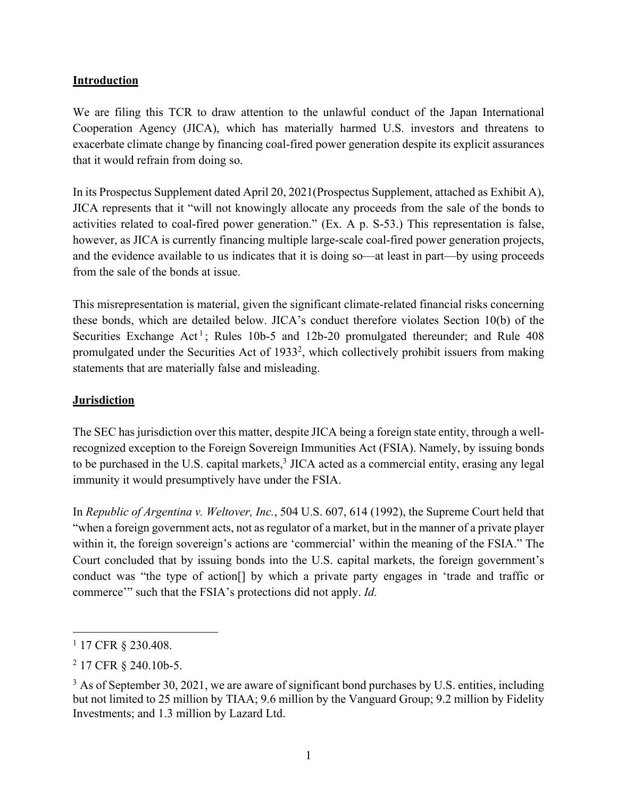### **Introduction**

We are filing this TCR to draw attention to the unlawful conduct of the Japan International Cooperation Agency (JICA), which has materially harmed U.S. investors and threatens to exacerbate climate change by financing coal-fired power generation despite its explicit assurances that it would refrain from doing so.

In its Prospectus Supplement dated April 20, 2021(Prospectus Supplement, attached as Exhibit A), JICA represents that it "will not knowingly allocate any proceeds from the sale of the bonds to activities related to coal-fired power generation." (Ex. A p. S-53.) This representation is false, however, as JICA is currently financing multiple large-scale coal-fired power generation projects, and the evidence available to us indicates that it is doing so—at least in part—by using proceeds from the sale of the bonds at issue.

This misrepresentation is material, given the significant climate-related financial risks concerning these bonds, which are detailed below. JICA's conduct therefore violates Section 10(b) of the Securities Exchange Act<sup>1</sup>; Rules 10b-5 and 12b-20 promulgated thereunder; and Rule  $408$ promulgated under the Securities Act of 19332, which collectively prohibit issuers from making statements that are materially false and misleading.

# **Jurisdiction**

The SEC has jurisdiction over this matter, despite JICA being a foreign state entity, through a wellrecognized exception to the Foreign Sovereign Immunities Act (FSIA). Namely, by issuing bonds to be purchased in the U.S. capital markets, $3 \text{ JICA}$  acted as a commercial entity, erasing any legal immunity it would presumptively have under the FSIA.

In *Republic of Argentina v. Weltover, Inc.*, 504 U.S. 607, 614 (1992), the Supreme Court held that "when a foreign government acts, not as regulator of a market, but in the manner of a private player within it, the foreign sovereign's actions are 'commercial' within the meaning of the FSIA." The Court concluded that by issuing bonds into the U.S. capital markets, the foreign government's conduct was "the type of action[] by which a private party engages in 'trade and traffic or commerce'" such that the FSIA's protections did not apply. *Id.* 

<sup>&</sup>lt;sup>1</sup> 17 CFR § 230.408.

<sup>2</sup> 17 CFR § 240.10b-5.

 $3$  As of September 30, 2021, we are aware of significant bond purchases by U.S. entities, including but not limited to 25 million by TIAA; 9.6 million by the Vanguard Group; 9.2 million by Fidelity Investments; and 1.3 million by Lazard Ltd.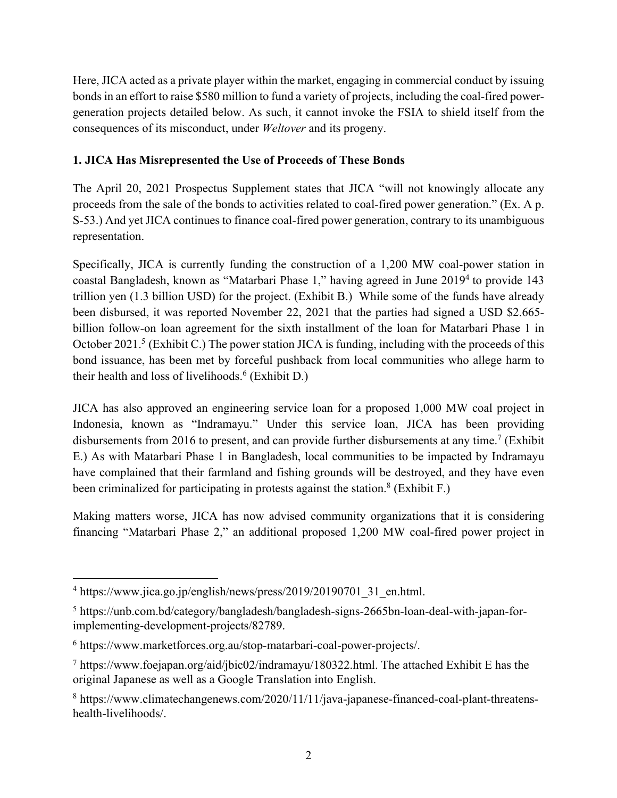Here, JICA acted as a private player within the market, engaging in commercial conduct by issuing bonds in an effort to raise \$580 million to fund a variety of projects, including the coal-fired powergeneration projects detailed below. As such, it cannot invoke the FSIA to shield itself from the consequences of its misconduct, under *Weltover* and its progeny.

# **1. JICA Has Misrepresented the Use of Proceeds of These Bonds**

The April 20, 2021 Prospectus Supplement states that JICA "will not knowingly allocate any proceeds from the sale of the bonds to activities related to coal-fired power generation." (Ex. A p. S-53.) And yet JICA continues to finance coal-fired power generation, contrary to its unambiguous representation.

Specifically, JICA is currently funding the construction of a 1,200 MW coal-power station in coastal Bangladesh, known as "Matarbari Phase 1," having agreed in June 20194 to provide 143 trillion yen (1.3 billion USD) for the project. (Exhibit B.) While some of the funds have already been disbursed, it was reported November 22, 2021 that the parties had signed a USD \$2.665 billion follow-on loan agreement for the sixth installment of the loan for Matarbari Phase 1 in October 2021.<sup>5</sup> (Exhibit C.) The power station JICA is funding, including with the proceeds of this bond issuance, has been met by forceful pushback from local communities who allege harm to their health and loss of livelihoods. <sup>6</sup> (Exhibit D.)

JICA has also approved an engineering service loan for a proposed 1,000 MW coal project in Indonesia, known as "Indramayu." Under this service loan, JICA has been providing disbursements from 2016 to present, and can provide further disbursements at any time.<sup>7</sup> (Exhibit E.) As with Matarbari Phase 1 in Bangladesh, local communities to be impacted by Indramayu have complained that their farmland and fishing grounds will be destroyed, and they have even been criminalized for participating in protests against the station. <sup>8</sup> (Exhibit F.)

Making matters worse, JICA has now advised community organizations that it is considering financing "Matarbari Phase 2," an additional proposed 1,200 MW coal-fired power project in

<sup>&</sup>lt;sup>4</sup> https://www.jica.go.jp/english/news/press/2019/20190701\_31\_en.html.

<sup>5</sup> https://unb.com.bd/category/bangladesh/bangladesh-signs-2665bn-loan-deal-with-japan-forimplementing-development-projects/82789.

<sup>6</sup> https://www.marketforces.org.au/stop-matarbari-coal-power-projects/.

 $7$  https://www.foejapan.org/aid/jbic02/indramayu/180322.html. The attached Exhibit E has the original Japanese as well as a Google Translation into English.

<sup>8</sup> https://www.climatechangenews.com/2020/11/11/java-japanese-financed-coal-plant-threatenshealth-livelihoods/.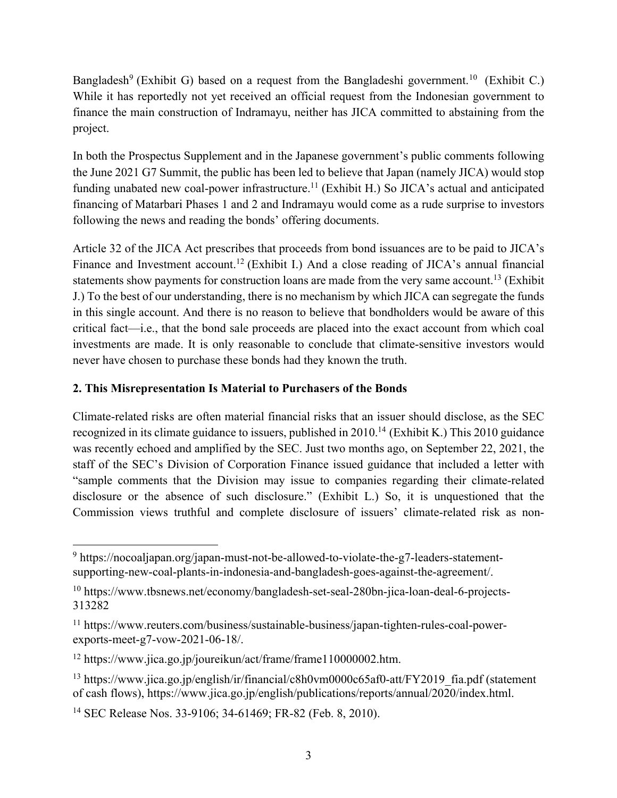Bangladesh<sup>9</sup> (Exhibit G) based on a request from the Bangladeshi government.<sup>10</sup> (Exhibit C.) While it has reportedly not yet received an official request from the Indonesian government to finance the main construction of Indramayu, neither has JICA committed to abstaining from the project.

In both the Prospectus Supplement and in the Japanese government's public comments following the June 2021 G7 Summit, the public has been led to believe that Japan (namely JICA) would stop funding unabated new coal-power infrastructure.<sup>11</sup> (Exhibit H.) So JICA's actual and anticipated financing of Matarbari Phases 1 and 2 and Indramayu would come as a rude surprise to investors following the news and reading the bonds' offering documents.

Article 32 of the JICA Act prescribes that proceeds from bond issuances are to be paid to JICA's Finance and Investment account.<sup>12</sup> (Exhibit I.) And a close reading of JICA's annual financial statements show payments for construction loans are made from the very same account.<sup>13</sup> (Exhibit J.) To the best of our understanding, there is no mechanism by which JICA can segregate the funds in this single account. And there is no reason to believe that bondholders would be aware of this critical fact—i.e., that the bond sale proceeds are placed into the exact account from which coal investments are made. It is only reasonable to conclude that climate-sensitive investors would never have chosen to purchase these bonds had they known the truth.

## **2. This Misrepresentation Is Material to Purchasers of the Bonds**

Climate-related risks are often material financial risks that an issuer should disclose, as the SEC recognized in its climate guidance to issuers, published in  $2010$ .<sup>14</sup> (Exhibit K.) This 2010 guidance was recently echoed and amplified by the SEC. Just two months ago, on September 22, 2021, the staff of the SEC's Division of Corporation Finance issued guidance that included a letter with "sample comments that the Division may issue to companies regarding their climate-related disclosure or the absence of such disclosure." (Exhibit L.) So, it is unquestioned that the Commission views truthful and complete disclosure of issuers' climate-related risk as non-

<sup>9</sup> https://nocoaljapan.org/japan-must-not-be-allowed-to-violate-the-g7-leaders-statementsupporting-new-coal-plants-in-indonesia-and-bangladesh-goes-against-the-agreement/.

<sup>&</sup>lt;sup>10</sup> https://www.tbsnews.net/economy/bangladesh-set-seal-280bn-jica-loan-deal-6-projects-313282

<sup>11</sup> https://www.reuters.com/business/sustainable-business/japan-tighten-rules-coal-powerexports-meet-g7-vow-2021-06-18/.

<sup>&</sup>lt;sup>12</sup> https://www.jica.go.jp/joureikun/act/frame/frame110000002.htm.

<sup>&</sup>lt;sup>13</sup> https://www.jica.go.jp/english/ir/financial/c8h0vm0000c65af0-att/FY2019 fia.pdf (statement of cash flows), https://www.jica.go.jp/english/publications/reports/annual/2020/index.html.

<sup>14</sup> SEC Release Nos. 33-9106; 34-61469; FR-82 (Feb. 8, 2010).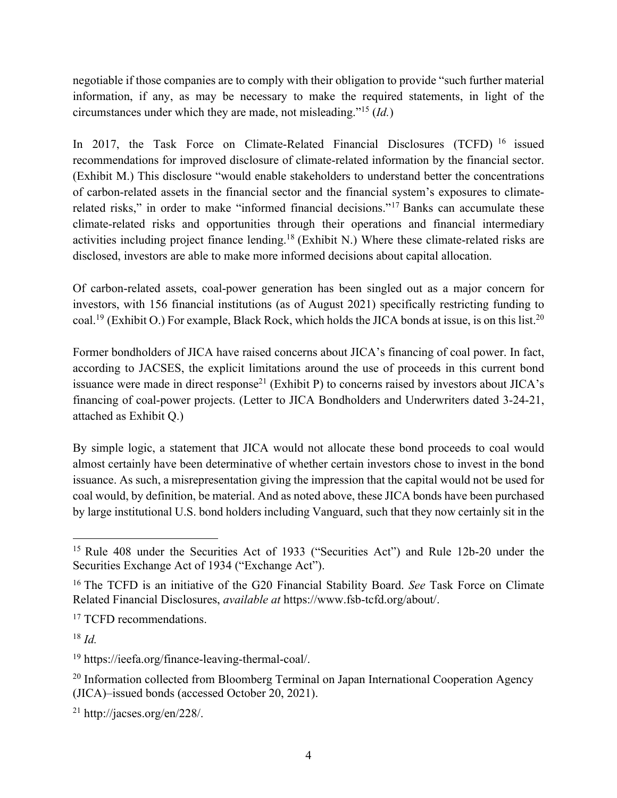negotiable if those companies are to comply with their obligation to provide "such further material information, if any, as may be necessary to make the required statements, in light of the circumstances under which they are made, not misleading."15 (*Id.*)

In 2017, the Task Force on Climate-Related Financial Disclosures (TCFD) <sup>16</sup> issued recommendations for improved disclosure of climate-related information by the financial sector. (Exhibit M.) This disclosure "would enable stakeholders to understand better the concentrations of carbon-related assets in the financial sector and the financial system's exposures to climaterelated risks," in order to make "informed financial decisions."17 Banks can accumulate these climate-related risks and opportunities through their operations and financial intermediary activities including project finance lending.18 (Exhibit N.) Where these climate-related risks are disclosed, investors are able to make more informed decisions about capital allocation.

Of carbon-related assets, coal-power generation has been singled out as a major concern for investors, with 156 financial institutions (as of August 2021) specifically restricting funding to coal.<sup>19</sup> (Exhibit O.) For example, Black Rock, which holds the JICA bonds at issue, is on this list.<sup>20</sup>

Former bondholders of JICA have raised concerns about JICA's financing of coal power. In fact, according to JACSES, the explicit limitations around the use of proceeds in this current bond issuance were made in direct response<sup>21</sup> (Exhibit P) to concerns raised by investors about  $\text{JICA's}$ financing of coal-power projects. (Letter to JICA Bondholders and Underwriters dated 3-24-21, attached as Exhibit Q.)

By simple logic, a statement that JICA would not allocate these bond proceeds to coal would almost certainly have been determinative of whether certain investors chose to invest in the bond issuance. As such, a misrepresentation giving the impression that the capital would not be used for coal would, by definition, be material. And as noted above, these JICA bonds have been purchased by large institutional U.S. bond holders including Vanguard, such that they now certainly sit in the

<sup>&</sup>lt;sup>15</sup> Rule 408 under the Securities Act of 1933 ("Securities Act") and Rule 12b-20 under the Securities Exchange Act of 1934 ("Exchange Act").

<sup>16</sup> The TCFD is an initiative of the G20 Financial Stability Board. *See* Task Force on Climate Related Financial Disclosures, *available at* https://www.fsb-tcfd.org/about/.

<sup>&</sup>lt;sup>17</sup> TCFD recommendations.

<sup>18</sup> *Id.*

<sup>19</sup> https://ieefa.org/finance-leaving-thermal-coal/.

<sup>&</sup>lt;sup>20</sup> Information collected from Bloomberg Terminal on Japan International Cooperation Agency (JICA)–issued bonds (accessed October 20, 2021).

<sup>21</sup> http://jacses.org/en/228/.